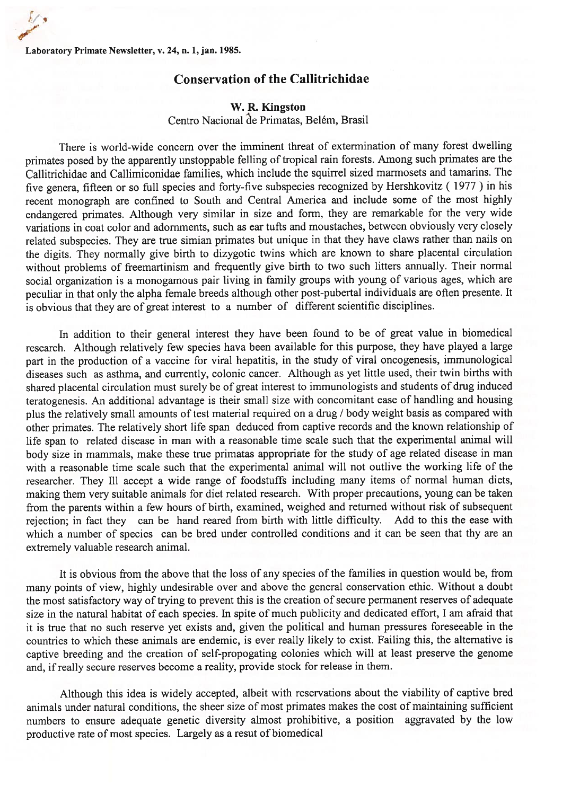Laboratory Primate Newsletter, v. 24, a. 1, jan. 1985.

## Conservation of the Callítrichidae

## W. R. Kingston

Centro Nacíonal de Primatas, Belém, Brasil

There is world-wide concem over the imminent threat of extermination of many forest dwelling primates posed by the apparently unstoppable felling of tropical rain forests. Among such primates are the Callitrichidae and Callimiconidae families, which include the squirrel sized marmosets and tamarins. The five genera, fifteen or so full species and forty-five subspecies recognized by Hershkovitz ( 1977 ) in his recent monograph are confined to South and Central America and include some of the most highly endangered primates. Although very similar in size and form, they are remarkable for the very wide variations in coat color and adomments, such as ear tufts and moustaches, between obviously very closely related subspecies. They are true simian primates but unique in that they have claws rather than nails on the digits. They normally give birth to dizygotic twins which are known to share placental circulation without problems of freemartinism and frequently give birth to two such litters annually. Their normal social organization is a monogamous pair living in family groups with young of various ages, which are peculiar in that only the alpha female breeds although other post-pubertal individuals are often presente. It is obvious that they are of great interest to a number of different scientific disciplines.

In addition to their general interest they have been found to be of great value in biomedical research. Although relatively few spccies hava been available for this purpose, they have played a large part in the production of a vaccine for viral hepatitis, in the study of viral oncogenesis, immunological diseases such as asthma, and currently, colonic cancer. Although as yet little used, their twin births with shared placental circulation must surely be of great interest to immunologists and students of drug induced teratogenesis. An additional advantage is their small size with concomitant ease of handling and housing plus the relatively small amounts of test material required on a drug / body weight basis as compared with other primates. The relatively short life span deduced from captive records and the known relationship of life span to related disease in man with a reasonable time scale such that the experimental animal will body size in mammals, make these true primatas appropriate for the study of age related disease in man with a reasonable time scale such that the experimental animal will not outlive the working life of the researcher. They Ill accept a wide range of foodstuffs including many items of normal human diets, making them very suitable animals for diet related research. With proper precautions, young can be taken from the parents within a few hours of birth, examined, weighed and returned without risk of subsequent rejection; in fact they can be hand reared from birth with little difficulty. Add to this the ease with which a number of species can be bred under controlled conditions and it can be seen that thy are an extremely valuable research animal.

It is obvious from the above that the loss of any species of the families in question would be, from many points of view, highly undesirable over and above the general conservation ethic. Without a doubt the most satisfactory way of trying to prevent this is the creation of secure permanent reserves of adequate size in the natural habitat of each species. In spite of much publicity and dedicated effort, <sup>1</sup> am afraid that it is true that no such reserve yet exists and, given the political and human pressures foreseeable in the countries to which these animals are endemic, is ever really likely to exist. Failing this, the altemative is captive breeding and the creation of self-propogating colonies which will at least preserve the genome and, if really secure reserves become a reality, provide stock for release in them.

Although this idea is widely accepted, albeit with reservations about the viability of captive bred animals under natural conditions, the sheer size of most primates makes the cost of maintaining sufficient numbers to ensure adequate genetic diversity almost prohibitive, a position aggravated by the low productive rate of most species. Largely as a resut of biomedical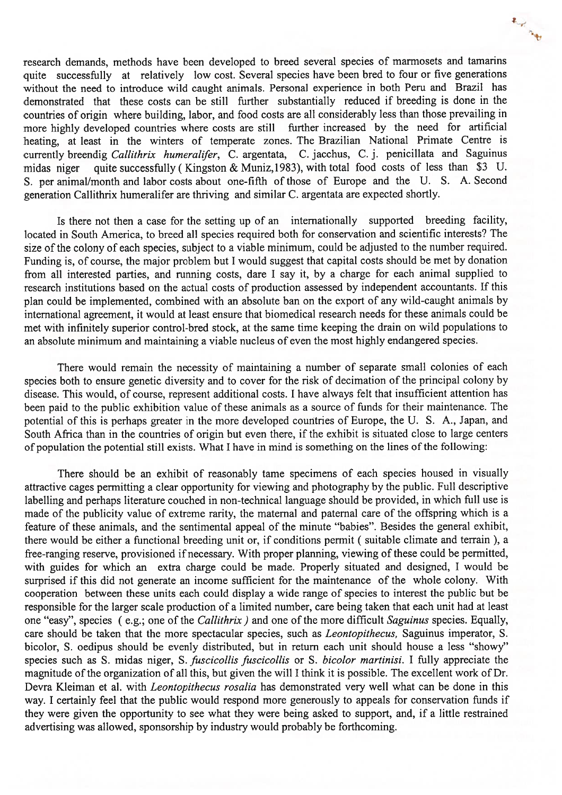research demands, methods have been developed to breed several species of marmosets and tamarins quite successfully at relatively low cost. Several species have been bred to four or five generations without the need to introduce wild caught animals. Personal experience in both Peru and Brazil has demonstrated that these costs can be still further substantially reduced if breeding is done in the countries of origin where building, labor, and food costs are all considerably less than those prevailing in more highly developed countries where costs are still further increased by the need for artificial heating, at least in the winters of temperate zones. The Brazilian National Primate Centre is currently breendig Callithrix humeralifer, C. argentata, C. jacchus, C. j. penicillata and Saguinus midas niger quite successfully (Kingston & Muniz, 1983), with total food costs of less than \$3 U. 5. per animal/month and labor costs about one-fifth of those of Europe and the U. 5. A. Second generation Callithrix humeralifer are thriving and similar C. argentata are expected shortly.

**R. L. Ridde** 

Is there not then <sup>a</sup> case for the setting up of an internationally supported breeding faciiity, located in South America, to breed all species required both for conservation and scientific interests? The size of the colony of each species, subject to a viable minimum, could be adjusted to the number required. Funding is, of course, the major problem but I would suggest that capital costs should be met by donation from all interested parties, and running costs, dare I say it, by a charge for each animal supplied to research institutions based on the actual costs of production assessed by independent accountants. If this plan could be implemented, combined with an absolute ban on the export of any wild-caught animals by international agreement, it would at Ieast ensure that biomedical research needs for these animais could be met with infinitely superior control-bred stock, at the sarne time keeping the drain on wild popuiations to an absolute minimum and maintaining a viable nucleus of even the most highly endangered species.

There would remain the necessity of maintaining a number of separate small colonies of each species both to ensure genetic diversity and to cover for the risk of decimation of the principal colony by disease. This would, of course, represent additional costs. I have always felt that insufficient attention has been paid to the public exhibition value of these animals as a source of funds for their maintenance. The potential of this is perhaps greater in the more developed countries of Europe, the U. 5. A., Japan, and South Africa than in the countries of origin but even there, if the exhibit is situated close to large centers of population the potential still exists. What I have in mind is something on the lines of the following:

There should be an exhibit of reasonably tame specimens of each species housed in visually attractive cages pennitting <sup>a</sup> clear opportunity for viewing and <sup>p</sup>hotography by the public. Full descriptive labelling and perhaps literature couched in non-technical language should be provided, in which full use is made of the publicity value of extreme rarity, the maternal and paternal care of the offspring which is a feature of these animais, and the sentimental appeal of the minute "babies". Besides the general exhibit, there would be either a functional breeding unit or, if conditions permit ( suitable climate and terrain ), a free-ranging reserve, provisioned if necessary. With proper <sup>p</sup>lanning, viewing of these could be permitted, with guides for which an extra charge could be made. Properly situated and designed, I would be surprised if this did not generate an income sufficient for the maintenance of the whole colony. With cooperation between these units each could display a wide range of species to interest the public but be responsible for the larger scale production of <sup>a</sup> iimited number, care being taken that each unit had at ieast one "easy", species (e.g.; one of the *Callithrix)* and one of the more difficult Saguinus species. Equally, care should be taken that the more spectacular species, such as *Leontopithecus*, Saguinus imperator, S. bicolor, S. oedipus should be evenly distributed, but in return each unit should house a less "showy" species such as S. midas niger, S. fuscicollis fuscicollis or S. bicolor martinisi. I fully appreciate the magnitude of the organization of all this, but given the will I think it is possible. The excellent work of Dr. Devra Kleiman et al. with *Leontopithecus rosalia* has demonstrated very well what can be done in this way. I certainly feel that the public would respond more generously to appeals for conservation funds if they were given the opportunity to see what they were being asked to support, and, if <sup>a</sup> little restrained advertising was allowed, sponsorship by industry would probably be forthcoming.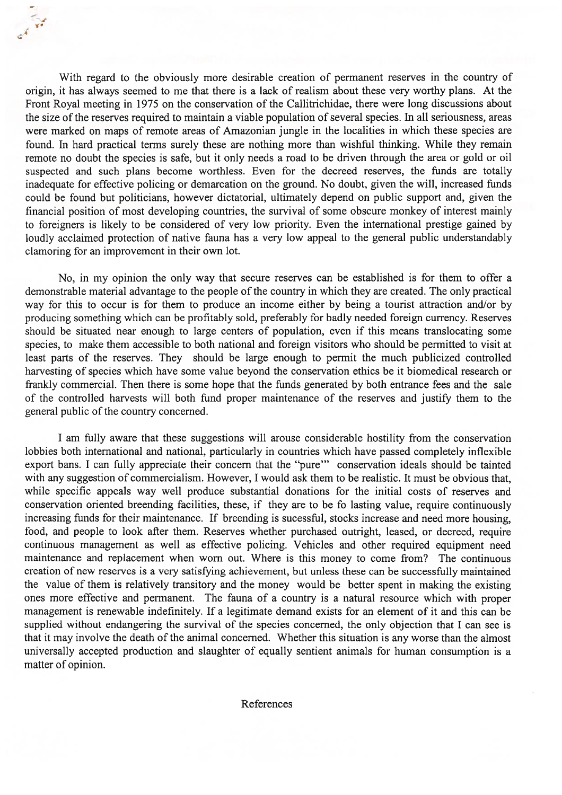With regard to the obviously more desirabie creation of permanent reserves in the country of origin, it has always seemed to me that there is a lack of realism about these very worthy pians. At the Front Royal meeting in 1975 on the conservation of the Callitrichidae, there were long discussions about the size of the reserves required to maintain a viable population of several species. In all seriousness, areas were marked on maps of remote areas of Amazonian jungle in the localities in which these species are found. In hard practical terms surely these are nothing more than wishful thinking. While they remain remote no doubt the species is safe, but it only needs a road to be driven through the area or gold or oil suspected and such plans become worthless. Even for the decreed reserves, the funds are totally inadequate for effective policing or demarcation on the ground. No doubt, given the wiil, increased funds could be found but politicians, however dictatorial, ultimately depend on public support and, given the financial position of most developing countries, the survival of some obscure monkey of interest mainiy to foreigners is iikely to be considered of very iow priority. Even the intemational prestige gained by loudly acclaimed protection of native fauna has a very low appeal to the general public understandably clamoring for an improvement in their own iot.

CA VE

No, in my opinion the only way that secure reserves can be established is for them to offer a demonstrable material advantage to the people of the country in which they are created. The only practical way for this to occur is for them to produce an income either by being a tourist attraction and/or by producing something which can be profitably soid, preferabiy for badly needed foreign currency. Reserves should be situated near enough to large centers of population, even if this means translocating some species, to make them accessibie to both national and foreign visitors who should be permitted to visit at least parts of the reserves. They should be large enough to permit the much publicized controlled harvesting of species which have some value beyond the conservation ethics be it biomedicai research or frankly commercial. Then there is some hope that the funds generated by both entrance fees and the saie of the controiled harvests wiii both fund proper maintenance of the reserves and justify them to the general public of the country concerned.

<sup>1</sup> am fuily aware that these suggestions wiii arouse considerabie hostility from the conservation lobbies both international and national, particularly in countries which have passed completely inflexible export bans. I can fully appreciate their concern that the "pure" conservation ideals should be tainted with any suggestion of commercialism. However, I would ask them to be realistic. It must be obvious that, while specific appeals way well produce substantial donations for the initial costs of reserves and conservation oriented breending faciiities, these, if they are to be fo lasting value, require continuously increasing funds for their maintenance. If breending is sucessful, stocks increase and need more housing, food, and peopie to iook afler them. Reserves whether purchased outright, ieased, or decreed, require continuous management as weil as effective policing. Vehicies and other required equipment need maintenance and replacement when wom out. Where is this money to come from? The continuous creation of new reserves is a very satisfying achievement, but unless these can be successfully maintained the vaiue of them is reiatively transitory and the money wouid be better spent in making the existing ones more effective and permanent. The fauna of a country is a natural resource which with proper management is renewabie indefiniteiy. If a iegitimate demand exists for an elcment of it and this can be supplied without endangering the survival of the species concerned, the only objection that I can see is that it may involve the death of the animal concerned. Whether this situation is any worse than the almost universally accepted production and slaughter of equally sentient animals for human consumption is a matter of opinion.

References